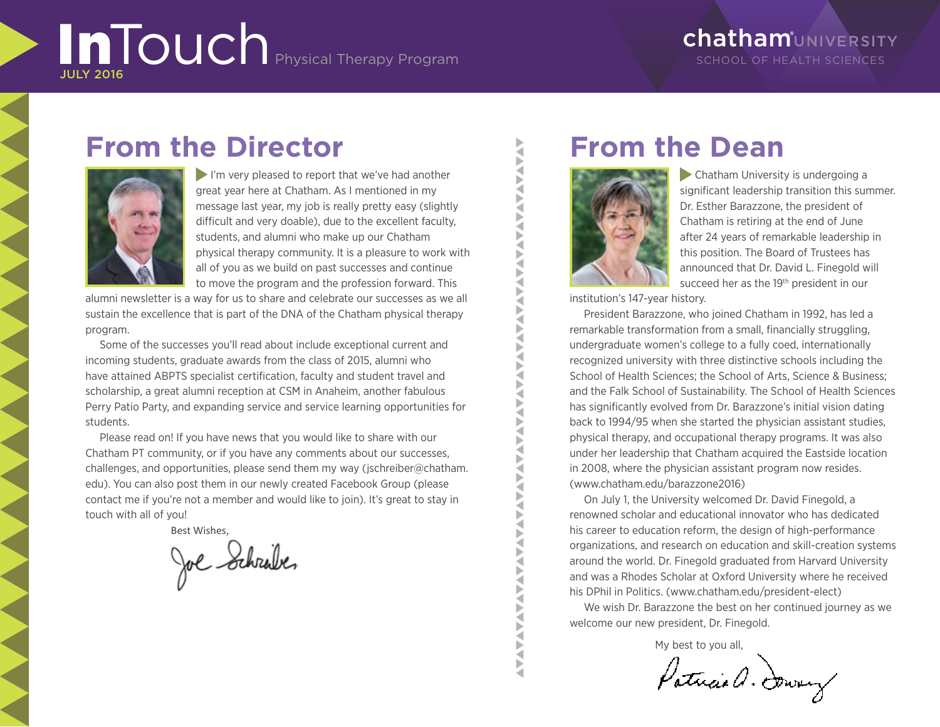# InTouch Physical Therapy Program

### **chatham**UNIVERSITY SCHOOL OF HEALTH SCIENCES

# **From the Director**



I'm very pleased to report that we've had another great year here at Chatham. As I mentioned in my message last year, my job is really pretty easy (slightly difficult and very doable), due to the excellent faculty, students, and alumni who make up our Chatham physical therapy community. It is a pleasure to work with all of you as we build on past successes and continue to move the program and the profession forward. This

alumni newsletter is a way for us to share and celebrate our successes as we all sustain the excellence that is part of the DNA of the Chatham physical therapy program.

Some of the successes you'll read about include exceptional current and incoming students, graduate awards from the class of 2015, alumni who have attained ABPTS specialist certification, faculty and student travel and scholarship, a great alumni reception at CSM in Anaheim, another fabulous Perry Patio Party, and expanding service and service learning opportunities for students.

Please read on! If you have news that you would like to share with our Chatham PT community, or if you have any comments about our successes, challenges, and opportunities, please send them my way (jschreiber@chatham. edu). You can also post them in our newly created Facebook Group (please contact me if you're not a member and would like to join). It's great to stay in touch with all of you!

Best Wishes,

Joe Schrabe,

# **From the Dean**



 Chatham University is undergoing a significant leadership transition this summer. Dr. Esther Barazzone, the president of Chatham is retiring at the end of June after 24 years of remarkable leadership in this position. The Board of Trustees has announced that Dr. David L. Finegold will succeed her as the 19<sup>th</sup> president in our

institution's 147-year history.

President Barazzone, who joined Chatham in 1992, has led a remarkable transformation from a small, financially struggling, undergraduate women's college to a fully coed, internationally recognized university with three distinctive schools including the School of Health Sciences; the School of Arts, Science & Business; and the Falk School of Sustainability. The School of Health Sciences has significantly evolved from Dr. Barazzone's initial vision dating back to 1994/95 when she started the physician assistant studies, physical therapy, and occupational therapy programs. It was also under her leadership that Chatham acquired the Eastside location in 2008, where the physician assistant program now resides. (www.chatham.edu/barazzone2016)

On July 1, the University welcomed Dr. David Finegold, a renowned scholar and educational innovator who has dedicated his career to education reform, the design of high-performance organizations, and research on education and skill-creation systems around the world. Dr. Finegold graduated from Harvard University and was a Rhodes Scholar at Oxford University where he received his DPhil in Politics. (www.chatham.edu/president-elect)

We wish Dr. Barazzone the best on her continued journey as we welcome our new president, Dr. Finegold.

My best to you all,

Patricia a. Downey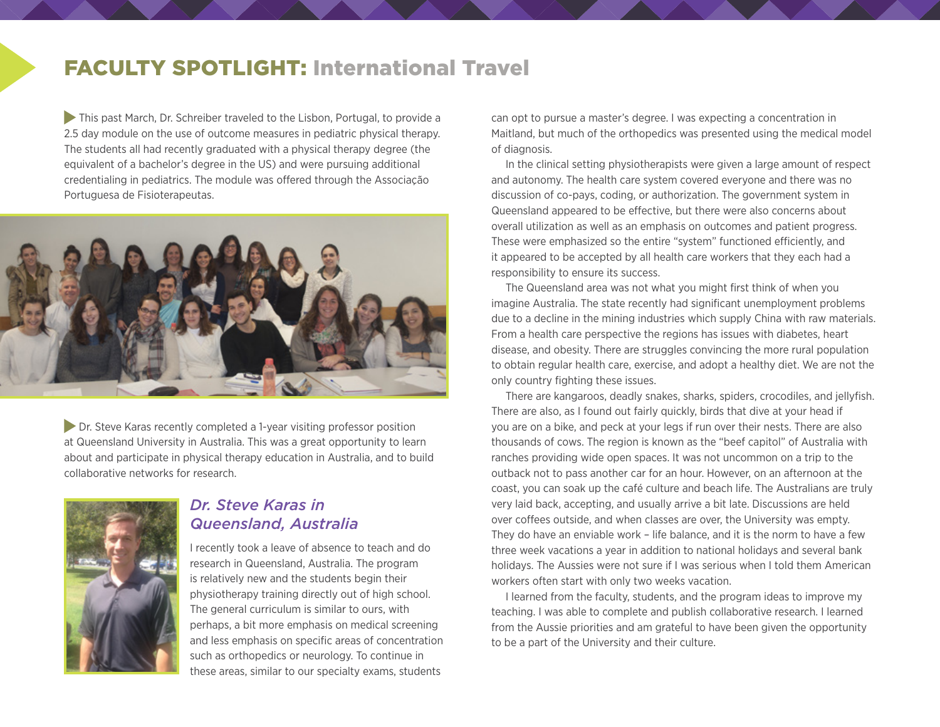### FACULTY SPOTLIGHT: International Travel

 This past March, Dr. Schreiber traveled to the Lisbon, Portugal, to provide a 2.5 day module on the use of outcome measures in pediatric physical therapy. The students all had recently graduated with a physical therapy degree (the equivalent of a bachelor's degree in the US) and were pursuing additional credentialing in pediatrics. The module was offered through the Associação Portuguesa de Fisioterapeutas.



**Dr.** Steve Karas recently completed a 1-year visiting professor position at Queensland University in Australia. This was a great opportunity to learn about and participate in physical therapy education in Australia, and to build collaborative networks for research.



#### *Dr. Steve Karas in Queensland, Australia*

I recently took a leave of absence to teach and do research in Queensland, Australia. The program is relatively new and the students begin their physiotherapy training directly out of high school. The general curriculum is similar to ours, with perhaps, a bit more emphasis on medical screening and less emphasis on specific areas of concentration such as orthopedics or neurology. To continue in these areas, similar to our specialty exams, students

can opt to pursue a master's degree. I was expecting a concentration in Maitland, but much of the orthopedics was presented using the medical model of diagnosis.

In the clinical setting physiotherapists were given a large amount of respect and autonomy. The health care system covered everyone and there was no discussion of co-pays, coding, or authorization. The government system in Queensland appeared to be effective, but there were also concerns about overall utilization as well as an emphasis on outcomes and patient progress. These were emphasized so the entire "system" functioned efficiently, and it appeared to be accepted by all health care workers that they each had a responsibility to ensure its success.

The Queensland area was not what you might first think of when you imagine Australia. The state recently had significant unemployment problems due to a decline in the mining industries which supply China with raw materials. From a health care perspective the regions has issues with diabetes, heart disease, and obesity. There are struggles convincing the more rural population to obtain regular health care, exercise, and adopt a healthy diet. We are not the only country fighting these issues.

There are kangaroos, deadly snakes, sharks, spiders, crocodiles, and jellyfish. There are also, as I found out fairly quickly, birds that dive at your head if you are on a bike, and peck at your legs if run over their nests. There are also thousands of cows. The region is known as the "beef capitol" of Australia with ranches providing wide open spaces. It was not uncommon on a trip to the outback not to pass another car for an hour. However, on an afternoon at the coast, you can soak up the café culture and beach life. The Australians are truly very laid back, accepting, and usually arrive a bit late. Discussions are held over coffees outside, and when classes are over, the University was empty. They do have an enviable work – life balance, and it is the norm to have a few three week vacations a year in addition to national holidays and several bank holidays. The Aussies were not sure if I was serious when I told them American workers often start with only two weeks vacation.

I learned from the faculty, students, and the program ideas to improve my teaching. I was able to complete and publish collaborative research. I learned from the Aussie priorities and am grateful to have been given the opportunity to be a part of the University and their culture.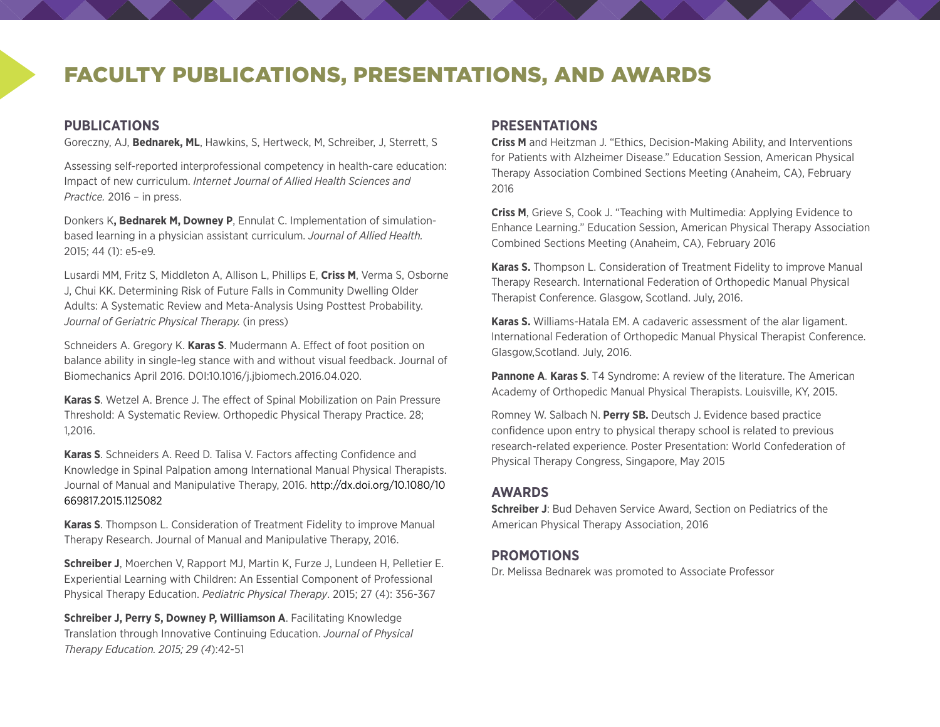### FACULTY PUBLICATIONS, PRESENTATIONS, AND AWARDS

#### **PUBLICATIONS**

Goreczny, AJ, **Bednarek, ML**, Hawkins, S, Hertweck, M, Schreiber, J, Sterrett, S

Assessing self-reported interprofessional competency in health-care education: Impact of new curriculum. *Internet Journal of Allied Health Sciences and Practice.* 2016 – in press.

Donkers K**, Bednarek M, Downey P**, Ennulat C. Implementation of simulationbased learning in a physician assistant curriculum. *Journal of Allied Health.*  2015; 44 (1): e5-e9*.*

Lusardi MM, Fritz S, Middleton A, Allison L, Phillips E, **Criss M**, Verma S, Osborne J, Chui KK. Determining Risk of Future Falls in Community Dwelling Older Adults: A Systematic Review and Meta-Analysis Using Posttest Probability. *Journal of Geriatric Physical Therapy.* (in press)

Schneiders A. Gregory K. **Karas S**. Mudermann A. Effect of foot position on balance ability in single-leg stance with and without visual feedback. Journal of Biomechanics April 2016. DOI:10.1016/j.jbiomech.2016.04.020.

**Karas S**. Wetzel A. Brence J. The effect of Spinal Mobilization on Pain Pressure Threshold: A Systematic Review. Orthopedic Physical Therapy Practice. 28; 1,2016.

**Karas S**. Schneiders A. Reed D. Talisa V. Factors affecting Confidence and Knowledge in Spinal Palpation among International Manual Physical Therapists. Journal of Manual and Manipulative Therapy, 2016. [http://dx.doi.org/10.1080/10](http://dx.doi.org/10.1080/10669817.2015.1125082) [669817.2015.1125082](http://dx.doi.org/10.1080/10669817.2015.1125082)

**Karas S**. Thompson L. Consideration of Treatment Fidelity to improve Manual Therapy Research. Journal of Manual and Manipulative Therapy, 2016.

**Schreiber J**, Moerchen V, Rapport MJ, Martin K, Furze J, Lundeen H, Pelletier E. Experiential Learning with Children: An Essential Component of Professional Physical Therapy Education. *Pediatric Physical Therapy*. 2015; 27 (4): 356-367

**Schreiber J, Perry S, Downey P, Williamson A**. Facilitating Knowledge Translation through Innovative Continuing Education. *Journal of Physical Therapy Education. 2015; 29 (4*):42-51

#### **PRESENTATIONS**

**Criss M** and Heitzman J. "Ethics, Decision-Making Ability, and Interventions for Patients with Alzheimer Disease." Education Session, American Physical Therapy Association Combined Sections Meeting (Anaheim, CA), February 2016

**Criss M**, Grieve S, Cook J. "Teaching with Multimedia: Applying Evidence to Enhance Learning." Education Session, American Physical Therapy Association Combined Sections Meeting (Anaheim, CA), February 2016

**Karas S.** Thompson L. Consideration of Treatment Fidelity to improve Manual Therapy Research. International Federation of Orthopedic Manual Physical Therapist Conference. Glasgow, Scotland. July, 2016.

**Karas S.** Williams-Hatala EM. A cadaveric assessment of the alar ligament. International Federation of Orthopedic Manual Physical Therapist Conference. Glasgow,Scotland. July, 2016.

**Pannone A**. **Karas S**. T4 Syndrome: A review of the literature. The American Academy of Orthopedic Manual Physical Therapists. Louisville, KY, 2015.

Romney W. Salbach N. **Perry SB.** Deutsch J. Evidence based practice confidence upon entry to physical therapy school is related to previous research-related experience. Poster Presentation: World Confederation of Physical Therapy Congress, Singapore, May 2015

#### **AWARDS**

**Schreiber J**: Bud Dehaven Service Award, Section on Pediatrics of the American Physical Therapy Association, 2016

#### **PROMOTIONS**

Dr. Melissa Bednarek was promoted to Associate Professor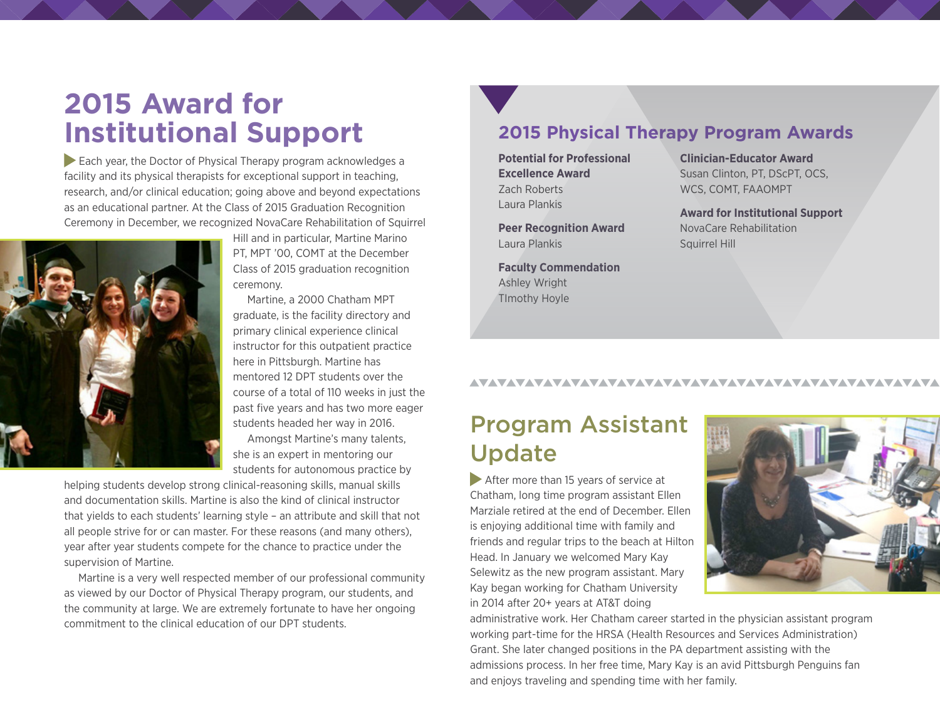# **2015 Award for Institutional Support**

Each year, the Doctor of Physical Therapy program acknowledges a facility and its physical therapists for exceptional support in teaching, research, and/or clinical education; going above and beyond expectations as an educational partner. At the Class of 2015 Graduation Recognition Ceremony in December, we recognized NovaCare Rehabilitation of Squirrel



Hill and in particular, Martine Marino PT, MPT '00, COMT at the December Class of 2015 graduation recognition ceremony.

Martine, a 2000 Chatham MPT graduate, is the facility directory and primary clinical experience clinical instructor for this outpatient practice here in Pittsburgh. Martine has mentored 12 DPT students over the course of a total of 110 weeks in just the past five years and has two more eager students headed her way in 2016.

Amongst Martine's many talents, she is an expert in mentoring our students for autonomous practice by

helping students develop strong clinical-reasoning skills, manual skills and documentation skills. Martine is also the kind of clinical instructor that yields to each students' learning style – an attribute and skill that not all people strive for or can master. For these reasons (and many others), year after year students compete for the chance to practice under the supervision of Martine.

Martine is a very well respected member of our professional community as viewed by our Doctor of Physical Therapy program, our students, and the community at large. We are extremely fortunate to have her ongoing commitment to the clinical education of our DPT students.

### **2015 Physical Therapy Program Awards**

**Potential for Professional Excellence Award** Zach Roberts Laura Plankis

**Peer Recognition Award** Laura Plankis

**Faculty Commendation** Ashley Wright TImothy Hoyle

**Clinician-Educator Award** Susan Clinton, PT, DScPT, OCS, WCS, COMT, FAAOMPT

**Award for Institutional Support** NovaCare Rehabilitation Squirrel Hill

### Program Assistant Update

After more than 15 years of service at Chatham, long time program assistant Ellen Marziale retired at the end of December. Ellen is enjoying additional time with family and friends and regular trips to the beach at Hilton Head. In January we welcomed Mary Kay Selewitz as the new program assistant. Mary Kay began working for Chatham University in 2014 after 20+ years at AT&T doing



administrative work. Her Chatham career started in the physician assistant program working part-time for the HRSA (Health Resources and Services Administration) Grant. She later changed positions in the PA department assisting with the admissions process. In her free time, Mary Kay is an avid Pittsburgh Penguins fan and enjoys traveling and spending time with her family.

AVAVAVAVAVAVAVAVAVAVAVAVAVAVAVAVAVAV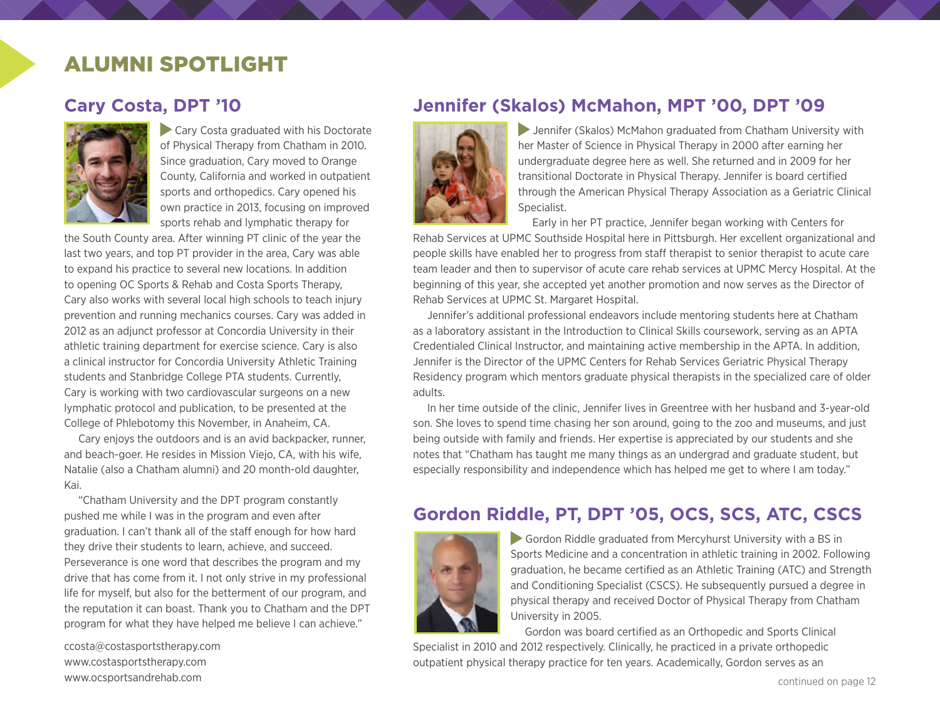### ALUMNI SPOTLIGHT

### **Cary Costa, DPT '10**



Cary Costa graduated with his Doctorate of Physical Therapy from Chatham in 2010. Since graduation, Cary moved to Orange County, California and worked in outpatient sports and orthopedics. Cary opened his own practice in 2013, focusing on improved sports rehab and lymphatic therapy for

the South County area. After winning PT clinic of the year the last two years, and top PT provider in the area, Cary was able to expand his practice to several new locations. In addition to opening OC Sports & Rehab and Costa Sports Therapy, Cary also works with several local high schools to teach injury prevention and running mechanics courses. Cary was added in 2012 as an adjunct professor at Concordia University in their athletic training department for exercise science. Cary is also a clinical instructor for Concordia University Athletic Training students and Stanbridge College PTA students. Currently, Cary is working with two cardiovascular surgeons on a new lymphatic protocol and publication, to be presented at the College of Phlebotomy this November, in Anaheim, CA.

Cary enjoys the outdoors and is an avid backpacker, runner, and beach-goer. He resides in Mission Viejo, CA, with his wife, Natalie (also a Chatham alumni) and 20 month-old daughter, Kai.

"Chatham University and the DPT program constantly pushed me while I was in the program and even after graduation. I can't thank all of the staff enough for how hard they drive their students to learn, achieve, and succeed. Perseverance is one word that describes the program and my drive that has come from it. I not only strive in my professional life for myself, but also for the betterment of our program, and the reputation it can boast. Thank you to Chatham and the DPT program for what they have helped me believe I can achieve."

[ccosta@costasportstherapy.com](mailto:ccosta@costasportstherapy.com) [www.costasportstherapy.com](http://www.costasportstherapy.com) www.ocsportsandrehab.com

### **Jennifer (Skalos) McMahon, MPT '00, DPT '09**



 Jennifer (Skalos) McMahon graduated from Chatham University with her Master of Science in Physical Therapy in 2000 after earning her undergraduate degree here as well. She returned and in 2009 for her transitional Doctorate in Physical Therapy. Jennifer is board certified through the American Physical Therapy Association as a Geriatric Clinical Specialist.

Early in her PT practice, Jennifer began working with Centers for

Rehab Services at UPMC Southside Hospital here in Pittsburgh. Her excellent organizational and people skills have enabled her to progress from staff therapist to senior therapist to acute care team leader and then to supervisor of acute care rehab services at UPMC Mercy Hospital. At the beginning of this year, she accepted yet another promotion and now serves as the Director of Rehab Services at UPMC St. Margaret Hospital.

Jennifer's additional professional endeavors include mentoring students here at Chatham as a laboratory assistant in the Introduction to Clinical Skills coursework, serving as an APTA Credentialed Clinical Instructor, and maintaining active membership in the APTA. In addition, Jennifer is the Director of the UPMC Centers for Rehab Services Geriatric Physical Therapy Residency program which mentors graduate physical therapists in the specialized care of older adults.

In her time outside of the clinic, Jennifer lives in Greentree with her husband and 3-year-old son. She loves to spend time chasing her son around, going to the zoo and museums, and just being outside with family and friends. Her expertise is appreciated by our students and she notes that "Chatham has taught me many things as an undergrad and graduate student, but especially responsibility and independence which has helped me get to where I am today."

### **Gordon Riddle, PT, DPT '05, OCS, SCS, ATC, CSCS**



Gordon Riddle graduated from Mercyhurst University with a BS in Sports Medicine and a concentration in athletic training in 2002. Following graduation, he became certified as an Athletic Training (ATC) and Strength and Conditioning Specialist (CSCS). He subsequently pursued a degree in physical therapy and received Doctor of Physical Therapy from Chatham University in 2005.

Gordon was board certified as an Orthopedic and Sports Clinical

Specialist in 2010 and 2012 respectively. Clinically, he practiced in a private orthopedic outpatient physical therapy practice for ten years. Academically, Gordon serves as an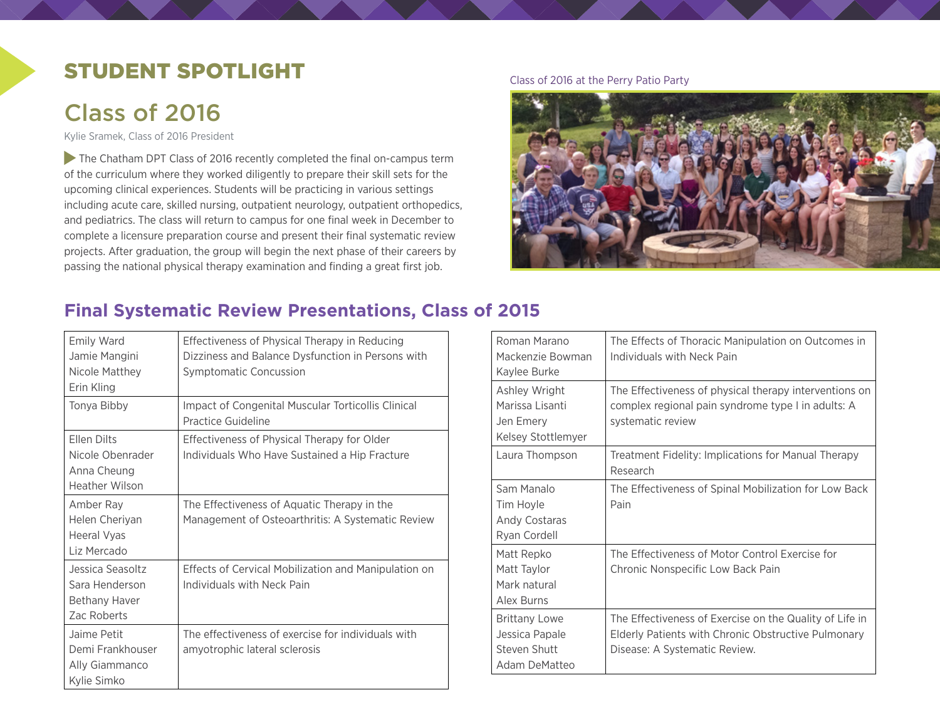### STUDENT SPOTLIGHT

# Class of 2016

Kylie Sramek, Class of 2016 President

The Chatham DPT Class of 2016 recently completed the final on-campus term of the curriculum where they worked diligently to prepare their skill sets for the upcoming clinical experiences. Students will be practicing in various settings including acute care, skilled nursing, outpatient neurology, outpatient orthopedics, and pediatrics. The class will return to campus for one final week in December to complete a licensure preparation course and present their final systematic review projects. After graduation, the group will begin the next phase of their careers by passing the national physical therapy examination and finding a great first job.

#### Class of 2016 at the Perry Patio Party



### **Final Systematic Review Presentations, Class of 2015**

| Emily Ward<br>Jamie Mangini<br>Nicole Matthey<br>Erin Kling             | Effectiveness of Physical Therapy in Reducing<br>Dizziness and Balance Dysfunction in Persons with<br>Symptomatic Concussion |
|-------------------------------------------------------------------------|------------------------------------------------------------------------------------------------------------------------------|
| Tonya Bibby                                                             | Impact of Congenital Muscular Torticollis Clinical<br>Practice Guideline                                                     |
| Ellen Dilts<br>Nicole Obenrader<br>Anna Cheung<br><b>Heather Wilson</b> | Effectiveness of Physical Therapy for Older<br>Individuals Who Have Sustained a Hip Fracture                                 |
| Amber Ray<br>Helen Cheriyan<br>Heeral Vyas<br>Liz Mercado               | The Effectiveness of Aquatic Therapy in the<br>Management of Osteoarthritis: A Systematic Review                             |
| Jessica Seasoltz<br>Sara Henderson<br>Bethany Haver<br>Zac Roberts      | Effects of Cervical Mobilization and Manipulation on<br>Individuals with Neck Pain                                           |
| Jaime Petit<br>Demi Frankhouser<br>Ally Giammanco<br>Kylie Simko        | The effectiveness of exercise for individuals with<br>amyotrophic lateral sclerosis                                          |

| Roman Marano<br>Mackenzie Bowman<br>Kaylee Burke                        | The Effects of Thoracic Manipulation on Outcomes in<br>Individuals with Neck Pain                                                               |
|-------------------------------------------------------------------------|-------------------------------------------------------------------------------------------------------------------------------------------------|
| Ashley Wright<br>Marissa Lisanti<br>Jen Emery<br>Kelsey Stottlemyer     | The Effectiveness of physical therapy interventions on<br>complex regional pain syndrome type I in adults: A<br>systematic review               |
| Laura Thompson                                                          | Treatment Fidelity: Implications for Manual Therapy<br>Research                                                                                 |
| Sam Manalo<br>Tim Hoyle<br>Andy Costaras<br>Ryan Cordell                | The Effectiveness of Spinal Mobilization for Low Back<br>Pain                                                                                   |
| Matt Repko<br>Matt Taylor<br>Mark natural<br>Alex Burns                 | The Effectiveness of Motor Control Exercise for<br>Chronic Nonspecific Low Back Pain                                                            |
| <b>Brittany Lowe</b><br>Jessica Papale<br>Steven Shutt<br>Adam DeMatteo | The Effectiveness of Exercise on the Quality of Life in<br>Elderly Patients with Chronic Obstructive Pulmonary<br>Disease: A Systematic Review. |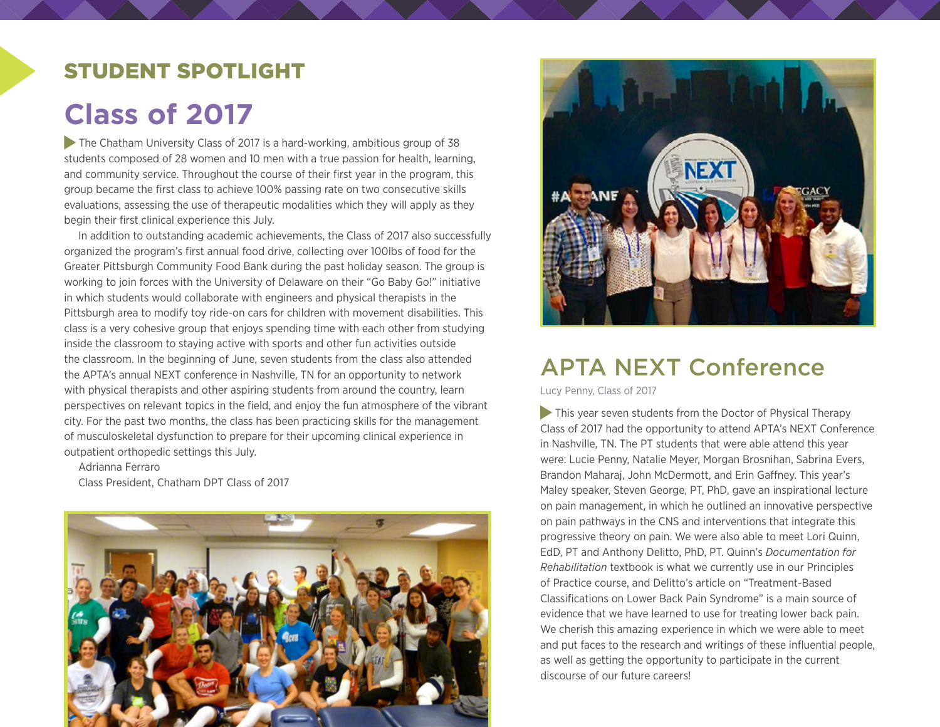### STUDENT SPOTLIGHT

# **Class of 2017**

 The Chatham University Class of 2017 is a hard-working, ambitious group of 38 students composed of 28 women and 10 men with a true passion for health, learning, and community service. Throughout the course of their first year in the program, this group became the first class to achieve 100% passing rate on two consecutive skills evaluations, assessing the use of therapeutic modalities which they will apply as they begin their first clinical experience this July.

In addition to outstanding academic achievements, the Class of 2017 also successfully organized the program's first annual food drive, collecting over 100lbs of food for the Greater Pittsburgh Community Food Bank during the past holiday season. The group is working to join forces with the University of Delaware on their "Go Baby Go!" initiative in which students would collaborate with engineers and physical therapists in the Pittsburgh area to modify toy ride-on cars for children with movement disabilities. This class is a very cohesive group that enjoys spending time with each other from studying inside the classroom to staying active with sports and other fun activities outside the classroom. In the beginning of June, seven students from the class also attended the APTA's annual NEXT conference in Nashville, TN for an opportunity to network with physical therapists and other aspiring students from around the country, learn perspectives on relevant topics in the field, and enjoy the fun atmosphere of the vibrant city. For the past two months, the class has been practicing skills for the management of musculoskeletal dysfunction to prepare for their upcoming clinical experience in outpatient orthopedic settings this July.

Adrianna Ferraro Class President, Chatham DPT Class of 2017





## APTA NEXT Conference

Lucy Penny, Class of 2017

This year seven students from the Doctor of Physical Therapy Class of 2017 had the opportunity to attend APTA's NEXT Conference in Nashville, TN. The PT students that were able attend this year were: Lucie Penny, Natalie Meyer, Morgan Brosnihan, Sabrina Evers, Brandon Maharaj, John McDermott, and Erin Gaffney. This year's Maley speaker, Steven George, PT, PhD, gave an inspirational lecture on pain management, in which he outlined an innovative perspective on pain pathways in the CNS and interventions that integrate this progressive theory on pain. We were also able to meet Lori Quinn, EdD, PT and Anthony Delitto, PhD, PT. Quinn's *Documentation for Rehabilitation* textbook is what we currently use in our Principles of Practice course, and Delitto's article on "Treatment-Based Classifications on Lower Back Pain Syndrome" is a main source of evidence that we have learned to use for treating lower back pain. We cherish this amazing experience in which we were able to meet and put faces to the research and writings of these influential people, as well as getting the opportunity to participate in the current discourse of our future careers!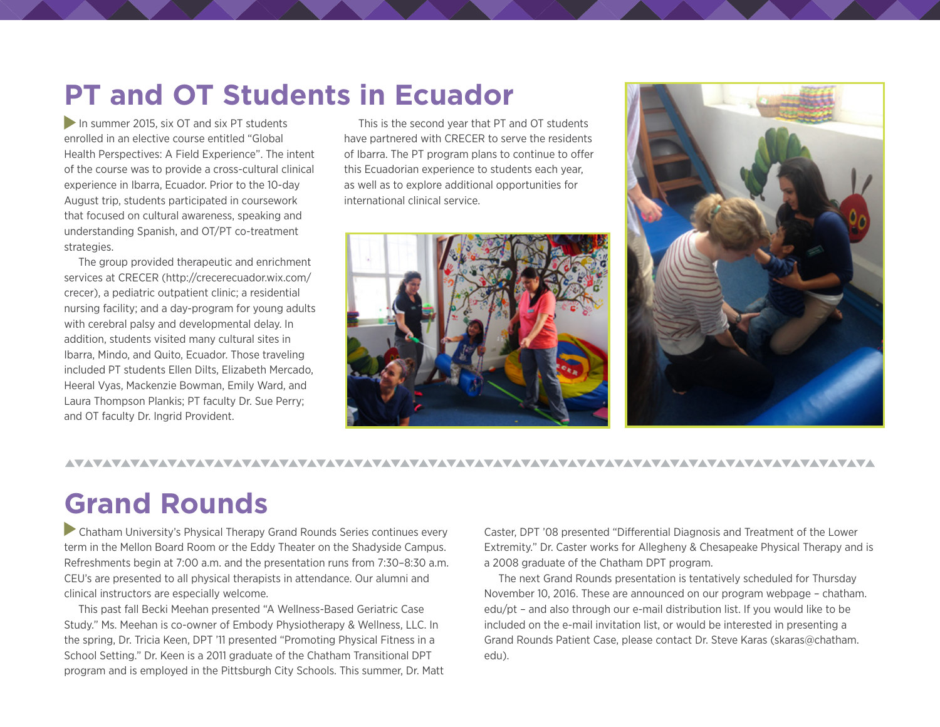# **PT and OT Students in Ecuador**

In summer 2015, six OT and six PT students enrolled in an elective course entitled "Global Health Perspectives: A Field Experience". The intent of the course was to provide a cross-cultural clinical experience in Ibarra, Ecuador. Prior to the 10-day August trip, students participated in coursework that focused on cultural awareness, speaking and understanding Spanish, and OT/PT co-treatment strategies.

The group provided therapeutic and enrichment services at CRECER ([http://crecerecuador.wix.com/](http://crecerecuador.wix.com/crecer) [crecer](http://crecerecuador.wix.com/crecer)), a pediatric outpatient clinic; a residential nursing facility; and a day-program for young adults with cerebral palsy and developmental delay. In addition, students visited many cultural sites in Ibarra, Mindo, and Quito, Ecuador. Those traveling included PT students Ellen Dilts, Elizabeth Mercado, Heeral Vyas, Mackenzie Bowman, Emily Ward, and Laura Thompson Plankis; PT faculty Dr. Sue Perry; and OT faculty Dr. Ingrid Provident.

This is the second year that PT and OT students have partnered with CRECER to serve the residents of Ibarra. The PT program plans to continue to offer this Ecuadorian experience to students each year, as well as to explore additional opportunities for international clinical service.





#### 

# **Grand Rounds**

 Chatham University's Physical Therapy Grand Rounds Series continues every term in the Mellon Board Room or the Eddy Theater on the Shadyside Campus. Refreshments begin at 7:00 a.m. and the presentation runs from 7:30–8:30 a.m. CEU's are presented to all physical therapists in attendance. Our alumni and clinical instructors are especially welcome.

This past fall Becki Meehan presented "A Wellness-Based Geriatric Case Study." Ms. Meehan is co-owner of Embody Physiotherapy & Wellness, LLC. In the spring, Dr. Tricia Keen, DPT '11 presented "Promoting Physical Fitness in a School Setting." Dr. Keen is a 2011 graduate of the Chatham Transitional DPT program and is employed in the Pittsburgh City Schools. This summer, Dr. Matt

Caster, DPT '08 presented "Differential Diagnosis and Treatment of the Lower Extremity." Dr. Caster works for Allegheny & Chesapeake Physical Therapy and is a 2008 graduate of the Chatham DPT program.

The next Grand Rounds presentation is tentatively scheduled for Thursday November 10, 2016. These are announced on our program webpage – [chatham.](http://www.chatham.edu/pt/) [edu/pt](http://www.chatham.edu/pt/) – and also through our e-mail distribution list. If you would like to be included on the e-mail invitation list, or would be interested in presenting a Grand Rounds Patient Case, please contact Dr. Steve Karas (skaras@chatham. edu).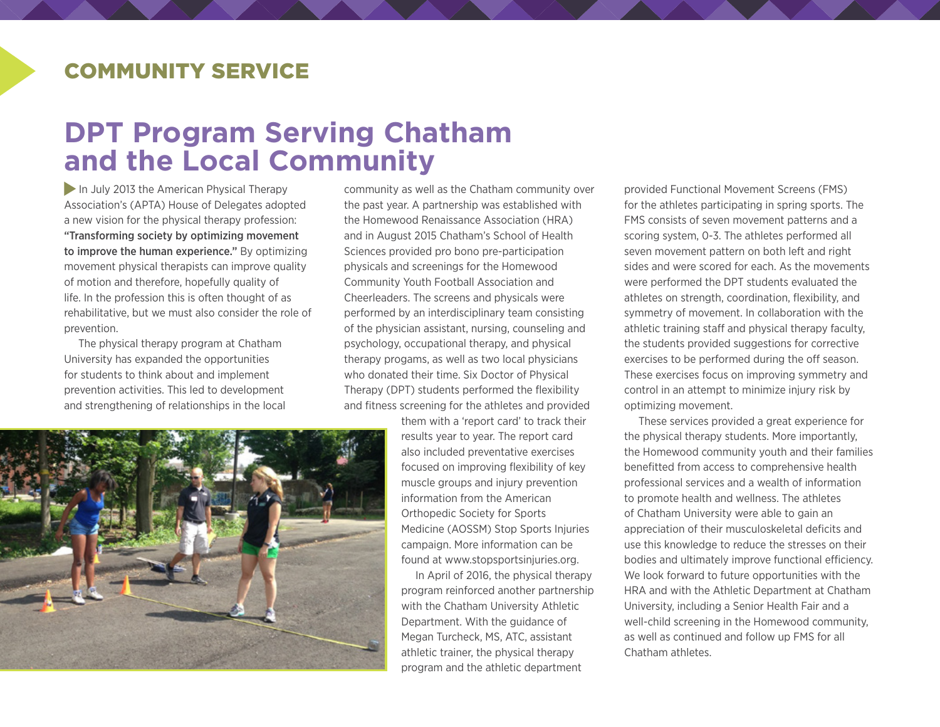### COMMUNITY SERVICE

# **DPT Program Serving Chatham and the Local Community**

In July 2013 the American Physical Therapy Association's (APTA) House of Delegates adopted a new vision for the physical therapy profession: "Transforming society by optimizing movement to improve the human experience." By optimizing movement physical therapists can improve quality of motion and therefore, hopefully quality of life. In the profession this is often thought of as rehabilitative, but we must also consider the role of prevention.

The physical therapy program at Chatham University has expanded the opportunities for students to think about and implement prevention activities. This led to development and strengthening of relationships in the local community as well as the Chatham community over the past year. A partnership was established with the Homewood Renaissance Association (HRA) and in August 2015 Chatham's School of Health Sciences provided pro bono pre-participation physicals and screenings for the Homewood Community Youth Football Association and Cheerleaders. The screens and physicals were performed by an interdisciplinary team consisting of the physician assistant, nursing, counseling and psychology, occupational therapy, and physical therapy progams, as well as two local physicians who donated their time. Six Doctor of Physical Therapy (DPT) students performed the flexibility and fitness screening for the athletes and provided

> them with a 'report card' to track their results year to year. The report card also included preventative exercises focused on improving flexibility of key muscle groups and injury prevention information from the American Orthopedic Society for Sports Medicine (AOSSM) Stop Sports Injuries campaign. More information can be found at [www.stopsportsinjuries.org.](http://www.stopsportsinjuries.org)

In April of 2016, the physical therapy program reinforced another partnership with the Chatham University Athletic Department. With the guidance of Megan Turcheck, MS, ATC, assistant athletic trainer, the physical therapy program and the athletic department

provided Functional Movement Screens (FMS) for the athletes participating in spring sports. The FMS consists of seven movement patterns and a scoring system, 0-3. The athletes performed all seven movement pattern on both left and right sides and were scored for each. As the movements were performed the DPT students evaluated the athletes on strength, coordination, flexibility, and symmetry of movement. In collaboration with the athletic training staff and physical therapy faculty, the students provided suggestions for corrective exercises to be performed during the off season. These exercises focus on improving symmetry and control in an attempt to minimize injury risk by optimizing movement.

These services provided a great experience for the physical therapy students. More importantly, the Homewood community youth and their families benefitted from access to comprehensive health professional services and a wealth of information to promote health and wellness. The athletes of Chatham University were able to gain an appreciation of their musculoskeletal deficits and use this knowledge to reduce the stresses on their bodies and ultimately improve functional efficiency. We look forward to future opportunities with the HRA and with the Athletic Department at Chatham University, including a Senior Health Fair and a well-child screening in the Homewood community, as well as continued and follow up FMS for all Chatham athletes.

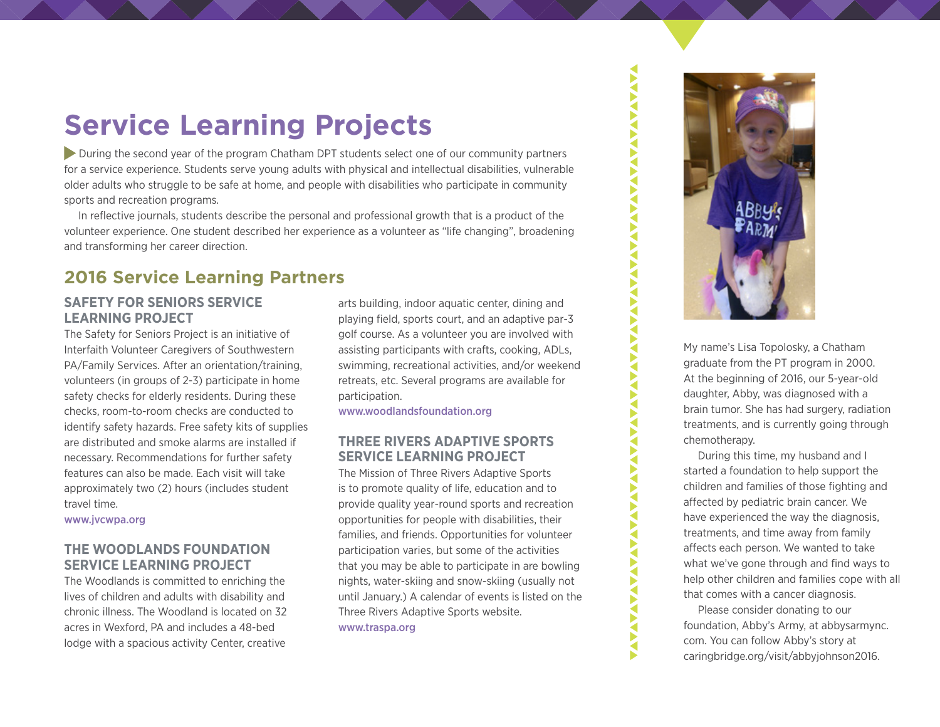# **Service Learning Projects**

 During the second year of the program Chatham DPT students select one of our community partners for a service experience. Students serve young adults with physical and intellectual disabilities, vulnerable older adults who struggle to be safe at home, and people with disabilities who participate in community sports and recreation programs.

In reflective journals, students describe the personal and professional growth that is a product of the volunteer experience. One student described her experience as a volunteer as "life changing", broadening and transforming her career direction.

### **2016 Service Learning Partners**

#### **SAFETY FOR SENIORS SERVICE LEARNING PROJECT**

The Safety for Seniors Project is an initiative of Interfaith Volunteer Caregivers of Southwestern PA/Family Services. After an orientation/training, volunteers (in groups of 2-3) participate in home safety checks for elderly residents. During these checks, room-to-room checks are conducted to identify safety hazards. Free safety kits of supplies are distributed and smoke alarms are installed if necessary. Recommendations for further safety features can also be made. Each visit will take approximately two (2) hours (includes student travel time.

[www.jvcwpa.org](http://www.jvcswpa.org)

#### **THE WOODLANDS FOUNDATION SERVICE LEARNING PROJECT**

The Woodlands is committed to enriching the lives of children and adults with disability and chronic illness. The Woodland is located on 32 acres in Wexford, PA and includes a 48-bed lodge with a spacious activity Center, creative

arts building, indoor aquatic center, dining and playing field, sports court, and an adaptive par-3 golf course. As a volunteer you are involved with assisting participants with crafts, cooking, ADLs, swimming, recreational activities, and/or weekend retreats, etc. Several programs are available for participation.

[www.woodlandsfoundation.org](http://www.woodlandsfoundation.org)

#### **THREE RIVERS ADAPTIVE SPORTS SERVICE LEARNING PROJECT**

The Mission of Three Rivers Adaptive Sports is to promote quality of life, education and to provide quality year-round sports and recreation opportunities for people with disabilities, their families, and friends. Opportunities for volunteer participation varies, but some of the activities that you may be able to participate in are bowling nights, water-skiing and snow-skiing (usually not until January.) A calendar of events is listed on the Three Rivers Adaptive Sports website. [www.traspa.org](http://www.traspa.org)



**VAVAVAV** 

€ ь ◀ ▶ ∢ Þ ∢ Š

€ ₹ Б ◀ ◀ ◀

**AVANTA** 

Þ ◀ F ∢ Š **AVA** € Б ◀ ь ◀ ◀ Š

**AVANAVANAVA** 

My name's Lisa Topolosky, a Chatham graduate from the PT program in 2000. At the beginning of 2016, our 5-year-old daughter, Abby, was diagnosed with a brain tumor. She has had surgery, radiation treatments, and is currently going through chemotherapy.

During this time, my husband and I started a foundation to help support the children and families of those fighting and affected by pediatric brain cancer. We have experienced the way the diagnosis, treatments, and time away from family affects each person. We wanted to take what we've gone through and find ways to help other children and families cope with all that comes with a cancer diagnosis.

Please consider donating to our foundation, Abby's Army, at [abbysarmync.](http://abbysarmync.com) [com.](http://abbysarmync.com) You can follow Abby's story at [caringbridge.org/visit/abbyjohnson2016](http://caringbridge.org/visit/abbyjohnson2016).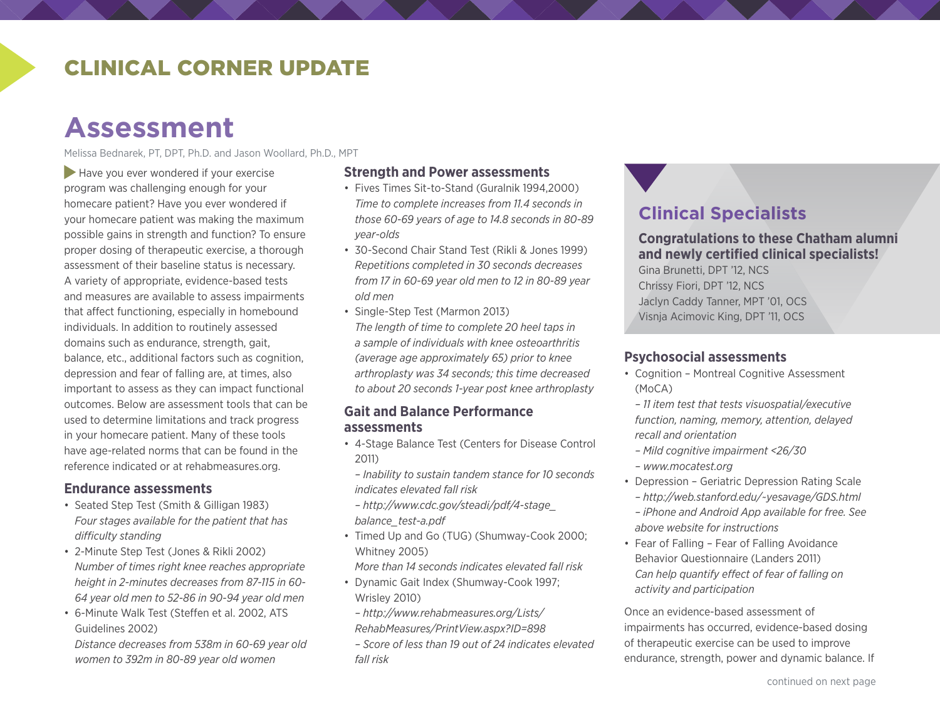### CLINICAL CORNER UPDATE

# **Assessment**

Melissa Bednarek, PT, DPT, Ph.D. and Jason Woollard, Ph.D., MPT

Have you ever wondered if your exercise program was challenging enough for your homecare patient? Have you ever wondered if your homecare patient was making the maximum possible gains in strength and function? To ensure proper dosing of therapeutic exercise, a thorough assessment of their baseline status is necessary. A variety of appropriate, evidence-based tests and measures are available to assess impairments that affect functioning, especially in homebound individuals. In addition to routinely assessed domains such as endurance, strength, gait, balance, etc., additional factors such as cognition, depression and fear of falling are, at times, also important to assess as they can impact functional outcomes. Below are assessment tools that can be used to determine limitations and track progress in your homecare patient. Many of these tools have age-related norms that can be found in the reference indicated or at rehabmeasures.org.

#### **Endurance assessments**

- Seated Step Test (Smith & Gilligan 1983) *Four stages available for the patient that has difficulty standing*
- 2-Minute Step Test (Jones & Rikli 2002) *Number of times right knee reaches appropriate height in 2-minutes decreases from 87-115 in 60- 64 year old men to 52-86 in 90-94 year old men*
- 6-Minute Walk Test (Steffen et al. 2002, ATS Guidelines 2002)

*Distance decreases from 538m in 60-69 year old women to 392m in 80-89 year old women*

#### **Strength and Power assessments**

- Fives Times Sit-to-Stand (Guralnik 1994,2000) *Time to complete increases from 11.4 seconds in those 60-69 years of age to 14.8 seconds in 80-89 year-olds*
- 30-Second Chair Stand Test (Rikli & Jones 1999) *Repetitions completed in 30 seconds decreases from 17 in 60-69 year old men to 12 in 80-89 year old men*
- Single-Step Test (Marmon 2013) *The length of time to complete 20 heel taps in a sample of individuals with knee osteoarthritis (average age approximately 65) prior to knee arthroplasty was 34 seconds; this time decreased to about 20 seconds 1-year post knee arthroplasty*

#### **Gait and Balance Performance assessments**

- 4-Stage Balance Test (Centers for Disease Control 2011)
- *Inability to sustain tandem stance for 10 seconds indicates elevated fall risk*
- *[http://www.cdc.gov/steadi/pdf/4-stage\\_](http://www.cdc.gov/steadi/pdf/4-stage_balance_test-a.pdf) [balance\\_test-a.pdf](http://www.cdc.gov/steadi/pdf/4-stage_balance_test-a.pdf)*
- Timed Up and Go (TUG) (Shumway-Cook 2000; Whitney 2005)

*More than 14 seconds indicates elevated fall risk*

• Dynamic Gait Index (Shumway-Cook 1997; Wrisley 2010)

*– [http://www.rehabmeasures.org/Lists/](http://www.rehabmeasures.org/Lists/RehabMeasures/PrintView.aspx?ID=898) [RehabMeasures/PrintView.aspx?ID=898](http://www.rehabmeasures.org/Lists/RehabMeasures/PrintView.aspx?ID=898)*

*– Score of less than 19 out of 24 indicates elevated fall risk*

### **Clinical Specialists**

**Congratulations to these Chatham alumni and newly certified clinical specialists!** 

Gina Brunetti, DPT '12, NCS Chrissy Fiori, DPT '12, NCS Jaclyn Caddy Tanner, MPT '01, OCS Visnja Acimovic King, DPT '11, OCS

#### **Psychosocial assessments**

• Cognition - Montreal Cognitive Assessment (MoCA)

*– 11 item test that tests visuospatial/executive function, naming, memory, attention, delayed recall and orientation*

- *Mild cognitive impairment <26/30*
- *[www.mocatest.org](http://www.mocatest.org)*
- Depression Geriatric Depression Rating Scale
	- *<http://web.stanford.edu/~yesavage/GDS.html>*
- *iPhone and Android App available for free. See above website for instructions*
- Fear of Falling Fear of Falling Avoidance Behavior Questionnaire (Landers 2011) *Can help quantify effect of fear of falling on activity and participation*

Once an evidence-based assessment of impairments has occurred, evidence-based dosing of therapeutic exercise can be used to improve endurance, strength, power and dynamic balance. If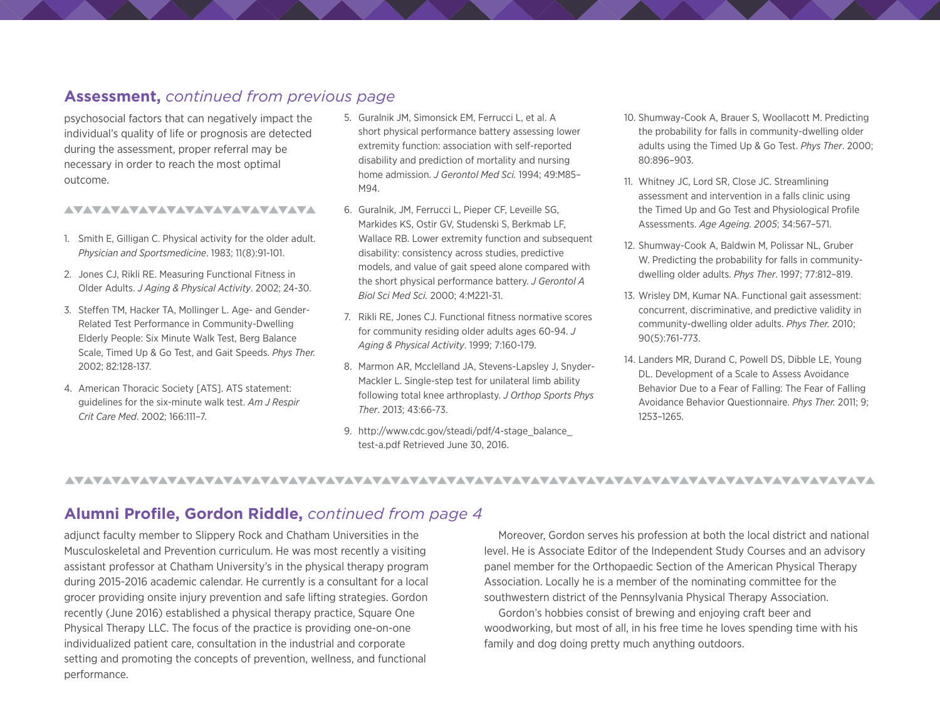#### **Assessment,** *continued from previous page*

psychosocial factors that can negatively impact the individual's quality of life or prognosis are detected during the assessment, proper referral may be necessary in order to reach the most optimal outcome.

#### AVAVAVAVAVAVAVAVAVAVAVAVA

- 1. Smith E, Gilligan C. Physical activity for the older adult. *Physician and Sportsmedicine*. 1983; 11(8):91-101.
- 2. Jones CJ, Rikli RE. Measuring Functional Fitness in Older Adults. *J Aging & Physical Activity*. 2002; 24-30.
- 3. Steffen TM, Hacker TA, Mollinger L. Age- and Gender-Related Test Performance in Community-Dwelling Elderly People: Six Minute Walk Test, Berg Balance Scale, Timed Up & Go Test, and Gait Speeds. *Phys Ther.* 2002; 82:128-137.
- 4. American Thoracic Society [ATS]. ATS statement: guidelines for the six-minute walk test. *Am J Respir Crit Care Med*. 2002; 166:111–7.
- 5. Guralnik JM, Simonsick EM, Ferrucci L, et al. A short physical performance battery assessing lower extremity function: association with self-reported disability and prediction of mortality and nursing home admission. *J Gerontol Med Sci.* 1994; 49:M85– M94.
- 6. Guralnik, JM, Ferrucci L, Pieper CF, Leveille SG, Markides KS, Ostir GV, Studenski S, Berkmab LF, Wallace RB. Lower extremity function and subsequent disability: consistency across studies, predictive models, and value of gait speed alone compared with the short physical performance battery. *J Gerontol A Biol Sci Med Sci.* 2000; 4:M221-31.
- 7. Rikli RE, Jones CJ. Functional fitness normative scores for community residing older adults ages 60-94. *J Aging & Physical Activity*. 1999; 7:160-179.
- 8. Marmon AR, Mcclelland JA, Stevens-Lapsley J, Snyder-Mackler L. Single-step test for unilateral limb ability following total knee arthroplasty. *J Orthop Sports Phys Ther*. 2013; 43:66-73.

9. http://www.cdc.gov/steadi/pdf/4-stage\_balance [test-a.pdf](http://www.cdc.gov/steadi/pdf/4-stage_balance_test-a.pdf) Retrieved June 30, 2016.

- 10. Shumway-Cook A, Brauer S, Woollacott M. Predicting the probability for falls in community-dwelling older adults using the Timed Up & Go Test. *Phys Ther*. 2000; 80:896–903.
- 11. Whitney JC, Lord SR, Close JC. Streamlining assessment and intervention in a falls clinic using the Timed Up and Go Test and Physiological Profile Assessments. *Age Ageing. 2005*; 34:567–571.
- 12. Shumway-Cook A, Baldwin M, Polissar NL, Gruber W. Predicting the probability for falls in communitydwelling older adults. *Phys Ther*. 1997; 77:812–819.
- 13. Wrisley DM, Kumar NA. Functional gait assessment: concurrent, discriminative, and predictive validity in community-dwelling older adults. *Phys Ther.* 2010; 90(5):761-773.
- 14. Landers MR, Durand C, Powell DS, Dibble LE, Young DL. Development of a Scale to Assess Avoidance Behavior Due to a Fear of Falling: The Fear of Falling Avoidance Behavior Questionnaire. *Phys Ther.* 2011; 9; 1253–1265.

#### **Alumni Profile, Gordon Riddle,** *continued from page 4*

adjunct faculty member to Slippery Rock and Chatham Universities in the Musculoskeletal and Prevention curriculum. He was most recently a visiting assistant professor at Chatham University's in the physical therapy program during 2015-2016 academic calendar. He currently is a consultant for a local grocer providing onsite injury prevention and safe lifting strategies. Gordon recently (June 2016) established a physical therapy practice, Square One Physical Therapy LLC. The focus of the practice is providing one-on-one individualized patient care, consultation in the industrial and corporate setting and promoting the concepts of prevention, wellness, and functional performance.

Moreover, Gordon serves his profession at both the local district and national level. He is Associate Editor of the Independent Study Courses and an advisory panel member for the Orthopaedic Section of the American Physical Therapy Association. Locally he is a member of the nominating committee for the southwestern district of the Pennsylvania Physical Therapy Association.

Gordon's hobbies consist of brewing and enjoying craft beer and woodworking, but most of all, in his free time he loves spending time with his family and dog doing pretty much anything outdoors.